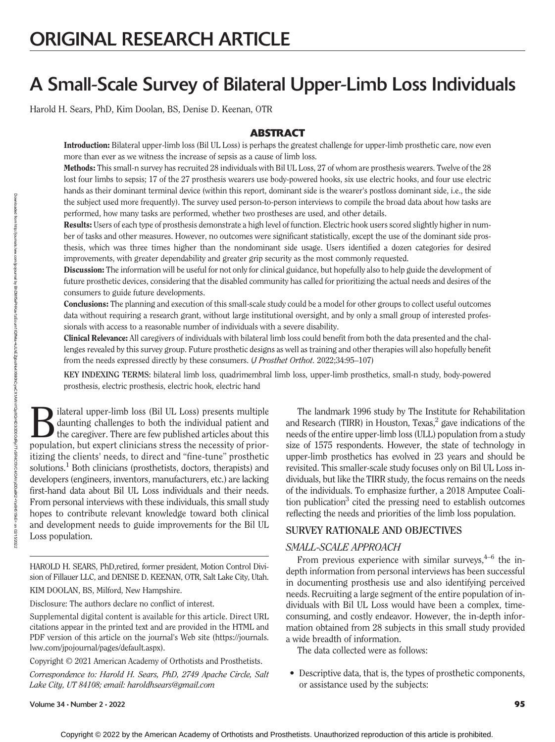# A Small-Scale Survey of Bilateral Upper-Limb Loss Individuals

Harold H. Sears, PhD, Kim Doolan, BS, Denise D. Keenan, OTR

# **ABSTRACT**

Introduction: Bilateral upper-limb loss (Bil UL Loss) is perhaps the greatest challenge for upper-limb prosthetic care, now even more than ever as we witness the increase of sepsis as a cause of limb loss.

Methods: This small-n survey has recruited 28 individuals with Bil UL Loss, 27 of whom are prosthesis wearers. Twelve of the 28 lost four limbs to sepsis; 17 of the 27 prosthesis wearers use body-powered hooks, six use electric hooks, and four use electric hands as their dominant terminal device (within this report, dominant side is the wearer's postloss dominant side, i.e., the side the subject used more frequently). The survey used person-to-person interviews to compile the broad data about how tasks are performed, how many tasks are performed, whether two prostheses are used, and other details.

Results: Users of each type of prosthesis demonstrate a high level of function. Electric hook users scored slightly higher in number of tasks and other measures. However, no outcomes were significant statistically, except the use of the dominant side prosthesis, which was three times higher than the nondominant side usage. Users identified a dozen categories for desired improvements, with greater dependability and greater grip security as the most commonly requested.

Discussion: The information will be useful for not only for clinical guidance, but hopefully also to help guide the development of future prosthetic devices, considering that the disabled community has called for prioritizing the actual needs and desires of the consumers to guide future developments.

Conclusions: The planning and execution of this small-scale study could be a model for other groups to collect useful outcomes data without requiring a research grant, without large institutional oversight, and by only a small group of interested professionals with access to a reasonable number of individuals with a severe disability.

Clinical Relevance: All caregivers of individuals with bilateral limb loss could benefit from both the data presented and the challenges revealed by this survey group. Future prosthetic designs as well as training and other therapies will also hopefully benefit from the needs expressed directly by these consumers. (J Prosthet Orthot. 2022;34:95–107)

KEY INDEXING TERMS: bilateral limb loss, quadrimembral limb loss, upper-limb prosthetics, small-n study, body-powered prosthesis, electric prosthesis, electric hook, electric hand

Bilateral upper-limb loss (Bil UL Loss) presents multiple<br>daunting challenges to both the individual patient and<br>the caregiver. There are few published articles about this<br>nonvistion but event clinicians stress the pecessi daunting challenges to both the individual patient and population, but expert clinicians stress the necessity of prioritizing the clients' needs, to direct and "fine-tune" prosthetic solutions.<sup>1</sup> Both clinicians (prosthetists, doctors, therapists) and developers (engineers, inventors, manufacturers, etc.) are lacking first-hand data about Bil UL Loss individuals and their needs. From personal interviews with these individuals, this small study hopes to contribute relevant knowledge toward both clinical and development needs to guide improvements for the Bil UL Loss population.

HAROLD H. SEARS, PhD,retired, former president, Motion Control Division of Fillauer LLC, and DENISE D. KEENAN, OTR, Salt Lake City, Utah.

KIM DOOLAN, BS, Milford, New Hampshire.

Disclosure: The authors declare no conflict of interest.

Supplemental digital content is available for this article. Direct URL citations appear in the printed text and are provided in the HTML and PDF version of this article on the journal's Web site ([https://journals.](https://journals.lww.com/jpojournal/pages/default.aspx) [lww.com/jpojournal/pages/default.aspx](https://journals.lww.com/jpojournal/pages/default.aspx)).

Copyright © 2021 American Academy of Orthotists and Prosthetists.

Correspondence to: Harold H. Sears, PhD, 2749 Apache Circle, Salt Lake City, UT 84108; email: [haroldhsears@gmail.com](mailto:haroldhsears@gmail.com)

The landmark 1996 study by The Institute for Rehabilitation and Research (TIRR) in Houston, Texas,<sup>2</sup> gave indications of the needs of the entire upper-limb loss (ULL) population from a study size of 1575 respondents. However, the state of technology in upper-limb prosthetics has evolved in 23 years and should be revisited. This smaller-scale study focuses only on Bil UL Loss individuals, but like the TIRR study, the focus remains on the needs of the individuals. To emphasize further, a 2018 Amputee Coalition publication<sup>3</sup> cited the pressing need to establish outcomes reflecting the needs and priorities of the limb loss population.

#### **SURVEY RATIONALE AND OBJECTIVES** SURVEY RATIONALE AND OBJECTIVES

### SMALL-SCALE APPROACH

From previous experience with similar surveys,  $4-6$  the indepth information from personal interviews has been successful in documenting prosthesis use and also identifying perceived needs. Recruiting a large segment of the entire population of individuals with Bil UL Loss would have been a complex, timeconsuming, and costly endeavor. However, the in-depth information obtained from 28 subjects in this small study provided a wide breadth of information.

The data collected were as follows:

• Descriptive data, that is, the types of prosthetic components, or assistance used by the subjects:

Volume 34 • Number 2 • 2022 95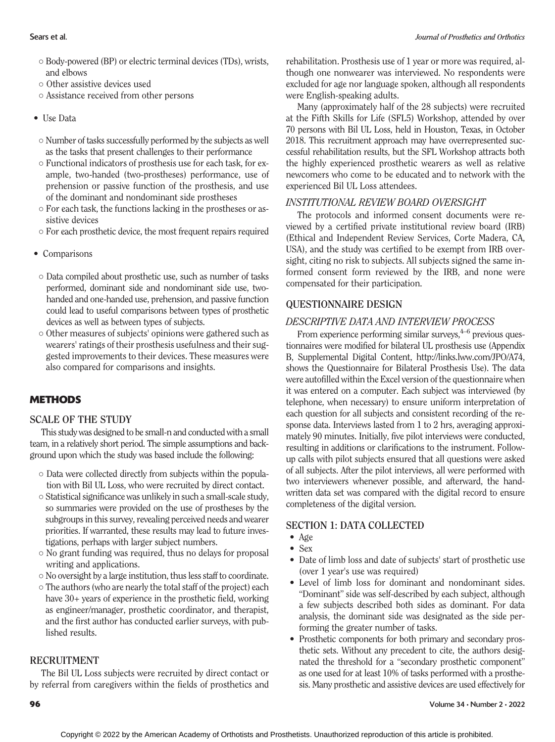- Body-powered (BP) or electric terminal devices (TDs), wrists, and elbows
- Other assistive devices used
- Assistance received from other persons
- Use Data
- Number of tasks successfully performed by the subjects as well as the tasks that present challenges to their performance
- Functional indicators of prosthesis use for each task, for example, two-handed (two-prostheses) performance, use of prehension or passive function of the prosthesis, and use of the dominant and nondominant side prostheses
- For each task, the functions lacking in the prostheses or assistive devices
- For each prosthetic device, the most frequent repairs required
- Comparisons
- Data compiled about prosthetic use, such as number of tasks performed, dominant side and nondominant side use, twohanded and one-handed use, prehension, and passive function could lead to useful comparisons between types of prosthetic devices as well as between types of subjects.
- Other measures of subjects' opinions were gathered such as wearers' ratings of their prosthesis usefulness and their suggested improvements to their devices. These measures were also compared for comparisons and insights.

### **METHODS**

This study was designed to be small-n and conducted with a small team, in a relatively short period. The simple assumptions and background upon which the study was based include the following:

- Data were collected directly from subjects within the population with Bil UL Loss, who were recruited by direct contact.
- Statistical significance was unlikely in such a small-scale study, so summaries were provided on the use of prostheses by the subgroups in this survey, revealing perceived needs and wearer priorities. If warranted, these results may lead to future investigations, perhaps with larger subject numbers.
- No grant funding was required, thus no delays for proposal writing and applications.
- $\circ$  No oversight by a large institution, thus less staff to coordinate.
- The authors (who are nearly the total staff of the project) each have 30+ years of experience in the prosthetic field, working as engineer/manager, prosthetic coordinator, and therapist, and the first author has conducted earlier surveys, with published results.

### **RECRUITMENT**

The Bil UL Loss subjects were recruited by direct contact or by referral from caregivers within the fields of prosthetics and

rehabilitation. Prosthesis use of 1 year or more was required, although one nonwearer was interviewed. No respondents were excluded for age nor language spoken, although all respondents were English-speaking adults.

Many (approximately half of the 28 subjects) were recruited at the Fifth Skills for Life (SFL5) Workshop, attended by over 70 persons with Bil UL Loss, held in Houston, Texas, in October 2018. This recruitment approach may have overrepresented successful rehabilitation results, but the SFL Workshop attracts both the highly experienced prosthetic wearers as well as relative newcomers who come to be educated and to network with the experienced Bil UL Loss attendees.

### INSTITUTIONAL REVIEW BOARD OVERSIGHT

The protocols and informed consent documents were reviewed by a certified private institutional review board (IRB) (Ethical and Independent Review Services, Corte Madera, CA, USA), and the study was certified to be exempt from IRB oversight, citing no risk to subjects. All subjects signed the same informed consent form reviewed by the IRB, and none were compensated for their participation.

#### QUESTIONNAIRE DESIGNATION DESCRIPTIVE DATA AND INTERVIEW PROCESS

From experience performing similar surveys, $4-6$  previous questionnaires were modified for bilateral UL prosthesis use (Appendix B, Supplemental Digital Content, <http://links.lww.com/JPO/A74>, shows the Questionnaire for Bilateral Prosthesis Use). The data were autofilled within the Excel version of the questionnaire when it was entered on a computer. Each subject was interviewed (by telephone, when necessary) to ensure uniform interpretation of each question for all subjects and consistent recording of the response data. Interviews lasted from 1 to 2 hrs, averaging approximately 90 minutes. Initially, five pilot interviews were conducted, resulting in additions or clarifications to the instrument. Followup calls with pilot subjects ensured that all questions were asked of all subjects. After the pilot interviews, all were performed with two interviewers whenever possible, and afterward, the handwritten data set was compared with the digital record to ensure completeness of the digital version.

# • Age

- 
- Sex
- Date of limb loss and date of subjects' start of prosthetic use (over 1 year's use was required)
- Level of limb loss for dominant and nondominant sides. "Dominant" side was self-described by each subject, although a few subjects described both sides as dominant. For data analysis, the dominant side was designated as the side performing the greater number of tasks.
- Prosthetic components for both primary and secondary prosthetic sets. Without any precedent to cite, the authors designated the threshold for a "secondary prosthetic component" as one used for at least 10% of tasks performed with a prosthesis. Many prosthetic and assistive devices are used effectively for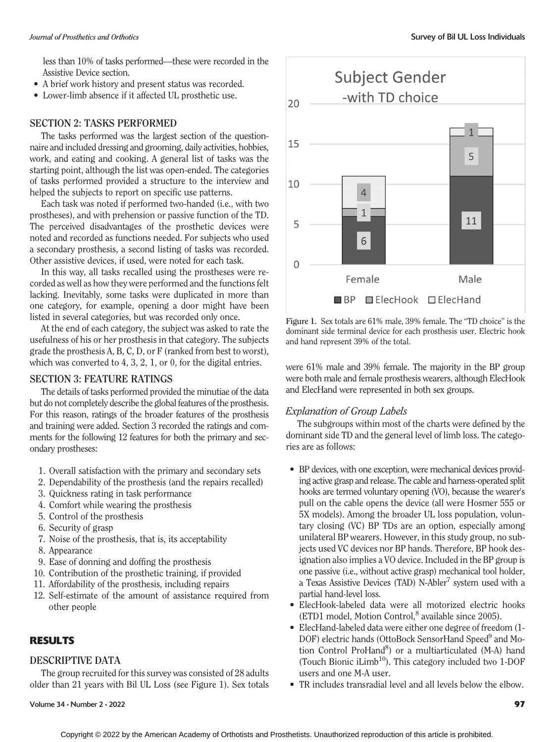less than 10% of tasks performed—these were recorded in the Assistive Device section.

- A brief work history and present status was recorded.
- Lower-limb absence if it affected UL prosthetic use.

The tasks performed was the largest section of the questionnaire and included dressing and grooming, daily activities, hobbies, work, and eating and cooking. A general list of tasks was the starting point, although the list was open-ended. The categories of tasks performed provided a structure to the interview and helped the subjects to report on specific use patterns.

Each task was noted if performed two-handed (i.e., with two prostheses), and with prehension or passive function of the TD. The perceived disadvantages of the prosthetic devices were noted and recorded as functions needed. For subjects who used a secondary prosthesis, a second listing of tasks was recorded. Other assistive devices, if used, were noted for each task.

In this way, all tasks recalled using the prostheses were recorded as well as how they were performed and the functions felt lacking. Inevitably, some tasks were duplicated in more than one category, for example, opening a door might have been listed in several categories, but was recorded only once.

At the end of each category, the subject was asked to rate the usefulness of his or her prosthesis in that category. The subjects grade the prosthesis A, B, C, D, or F (ranked from best to worst), which was converted to 4, 3, 2, 1, or 0, for the digital entries.

The details of tasks performed provided the minutiae of the data but do not completely describe the global features of the prosthesis. For this reason, ratings of the broader features of the prosthesis and training were added. Section 3 recorded the ratings and comments for the following 12 features for both the primary and secondary prostheses:

- 1. Overall satisfaction with the primary and secondary sets
- 2. Dependability of the prosthesis (and the repairs recalled)
- 3. Quickness rating in task performance
- 4. Comfort while wearing the prosthesis
- 5. Control of the prosthesis
- 6. Security of grasp
- 7. Noise of the prosthesis, that is, its acceptability
- 8. Appearance
- 9. Ease of donning and doffing the prosthesis
- 10. Contribution of the prosthetic training, if provided
- 11. Affordability of the prosthesis, including repairs
- 12. Self-estimate of the amount of assistance required from other people

### RESULTS

#### **DESCRIPTIVE DATA**

The group recruited for this survey was consisted of 28 adults older than 21 years with Bil UL Loss (see Figure 1). Sex totals



Figure 1. Sex totals are 61% male, 39% female. The "TD choice" is the dominant side terminal device for each prosthesis user. Electric hook and hand represent 39% of the total.

were 61% male and 39% female. The majority in the BP group were both male and female prosthesis wearers, although ElecHook and ElecHand were represented in both sex groups.

### Explanation of Group Labels

The subgroups within most of the charts were defined by the dominant side TD and the general level of limb loss. The categories are as follows:

- BP devices, with one exception, were mechanical devices providing active grasp and release. The cable and harness-operated split hooks are termed voluntary opening (VO), because the wearer's pull on the cable opens the device (all were Hosmer 555 or 5X models). Among the broader UL loss population, voluntary closing (VC) BP TDs are an option, especially among unilateral BP wearers. However, in this study group, no subjects used VC devices nor BP hands. Therefore, BP hook designation also implies a VO device. Included in the BP group is one passive (i.e., without active grasp) mechanical tool holder, a Texas Assistive Devices (TAD) N-Abler<sup>7</sup> system used with a partial hand-level loss.
- ElecHook-labeled data were all motorized electric hooks  $(ETD1 \text{ model}, \text{Motion Control},^8 \text{ available since } 2005).$
- ElecHand-labeled data were either one degree of freedom (1- DOF) electric hands (OttoBock SensorHand Speed<sup>9</sup> and Motion Control ProHand<sup>8</sup>) or a multiarticulated (M-A) hand (Touch Bionic iLimb<sup>10</sup>). This category included two  $1$ -DOF users and one M-A user.
- TR includes transradial level and all levels below the elbow.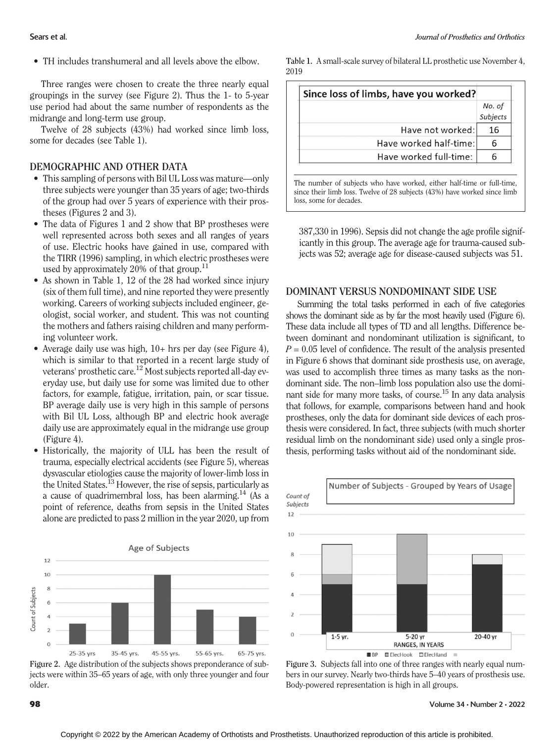• TH includes transhumeral and all levels above the elbow.

Three ranges were chosen to create the three nearly equal groupings in the survey (see Figure 2). Thus the 1- to 5-year use period had about the same number of respondents as the midrange and long-term use group.

Twelve of 28 subjects (43%) had worked since limb loss, some for decades (see Table 1).

# DEMOGRAPHIC AND OTHER DATA

- This sampling of persons with Bil UL Loss was mature—only three subjects were younger than 35 years of age; two-thirds of the group had over 5 years of experience with their prostheses (Figures 2 and 3).
- The data of Figures 1 and 2 show that BP prostheses were well represented across both sexes and all ranges of years of use. Electric hooks have gained in use, compared with the TIRR (1996) sampling, in which electric prostheses were used by approximately 20% of that group.<sup>11</sup>
- As shown in Table 1, 12 of the 28 had worked since injury (six of them full time), and nine reported they were presently working. Careers of working subjects included engineer, geologist, social worker, and student. This was not counting the mothers and fathers raising children and many performing volunteer work.
- Average daily use was high,  $10+$  hrs per day (see Figure 4), which is similar to that reported in a recent large study of veterans' prosthetic care.<sup>12</sup> Most subjects reported all-day everyday use, but daily use for some was limited due to other factors, for example, fatigue, irritation, pain, or scar tissue. BP average daily use is very high in this sample of persons with Bil UL Loss, although BP and electric hook average daily use are approximately equal in the midrange use group (Figure 4).
- Historically, the majority of ULL has been the result of trauma, especially electrical accidents (see Figure 5), whereas dysvascular etiologies cause the majority of lower-limb loss in the United States.<sup>13</sup> However, the rise of sepsis, particularly as a cause of quadrimembral loss, has been alarming.<sup>14</sup> (As a point of reference, deaths from sepsis in the United States alone are predicted to pass 2 million in the year 2020, up from



Figure 2. Age distribution of the subjects shows preponderance of subjects were within 35–65 years of age, with only three younger and four older.

Table 1. A small-scale survey of bilateral LL prosthetic use November 4, 2019

| Since loss of limbs, have you worked? |          |
|---------------------------------------|----------|
|                                       | No. of   |
|                                       | Subjects |
| Have not worked:                      | 16       |
| Have worked half-time:                |          |
| Have worked full-time:                |          |

The number of subjects who have worked, either half-time or full-time, since their limb loss. Twelve of 28 subjects (43%) have worked since limb loss, some for decades.

387,330 in 1996). Sepsis did not change the age profile significantly in this group. The average age for trauma-caused subjects was 52; average age for disease-caused subjects was 51.

### DOMINANT VERSUS NONDOMINANT SIDE USE

Summing the total tasks performed in each of five categories shows the dominant side as by far the most heavily used (Figure 6). These data include all types of TD and all lengths. Difference between dominant and nondominant utilization is significant, to  $P = 0.05$  level of confidence. The result of the analysis presented in Figure 6 shows that dominant side prosthesis use, on average, was used to accomplish three times as many tasks as the nondominant side. The non–limb loss population also use the dominant side for many more tasks, of course.<sup>15</sup> In any data analysis that follows, for example, comparisons between hand and hook prostheses, only the data for dominant side devices of each prosthesis were considered. In fact, three subjects (with much shorter residual limb on the nondominant side) used only a single prosthesis, performing tasks without aid of the nondominant side.



Figure 3. Subjects fall into one of three ranges with nearly equal numbers in our survey. Nearly two-thirds have 5–40 years of prosthesis use. Body-powered representation is high in all groups.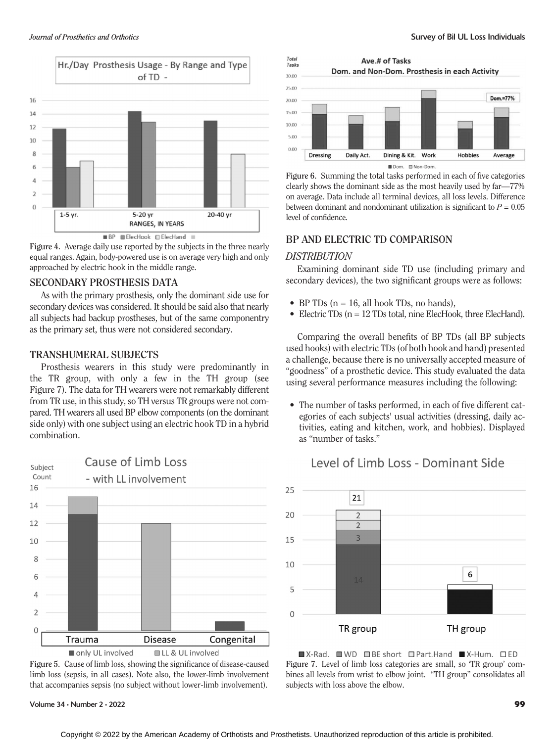

Figure 4. Average daily use reported by the subjects in the three nearly equal ranges. Again, body-powered use is on average very high and only approached by electric hook in the middle range.

#### **SECONDARY PROSTHESIS DATA**

As with the primary prosthesis, only the dominant side use for secondary devices was considered. It should be said also that nearly all subjects had backup prostheses, but of the same componentry as the primary set, thus were not considered secondary.

#### **TRANSHUMERAL SUBJECTS**

Prosthesis wearers in this study were predominantly in the TR group, with only a few in the TH group (see Figure 7). The data for TH wearers were not remarkably different from TR use, in this study, so TH versus TR groups were not compared. TH wearers all used BP elbow components (on the dominant side only) with one subject using an electric hook TD in a hybrid combination.



Figure 5. Cause of limb loss, showing the significance of disease-caused limb loss (sepsis, in all cases). Note also, the lower-limb involvement that accompanies sepsis (no subject without lower-limb involvement).

Volume 34 • Number 2 • 2022 99





Figure 6. Summing the total tasks performed in each of five categories clearly shows the dominant side as the most heavily used by far—77% on average. Data include all terminal devices, all loss levels. Difference between dominant and nondominant utilization is significant to  $P = 0.05$ level of confidence.

#### BP AND ELECTRIC TD COMPARISON BP AND ELECTRIC TO COMPARISON

#### **DISTRIBUTION**

Examining dominant side TD use (including primary and secondary devices), the two significant groups were as follows:

- BP TDs  $(n = 16, \text{ all hook} \text{ TDs}, \text{ no hands}),$
- Electric TDs (n = 12 TDs total, nine ElecHook, three ElecHand).

Comparing the overall benefits of BP TDs (all BP subjects used hooks) with electric TDs (of both hook and hand) presented a challenge, because there is no universally accepted measure of "goodness" of a prosthetic device. This study evaluated the data using several performance measures including the following:

• The number of tasks performed, in each of five different categories of each subjects' usual activities (dressing, daily activities, eating and kitchen, work, and hobbies). Displayed as "number of tasks."



# Level of Limb Loss - Dominant Side

 $\blacksquare$  X-Rad.  $\blacksquare$  WD  $\blacksquare$  BE short  $\blacksquare$  Part. Hand  $\blacksquare$  X-Hum.  $\blacksquare$  ED Figure 7. Level of limb loss categories are small, so 'TR group' combines all levels from wrist to elbow joint. "TH group" consolidates all subjects with loss above the elbow.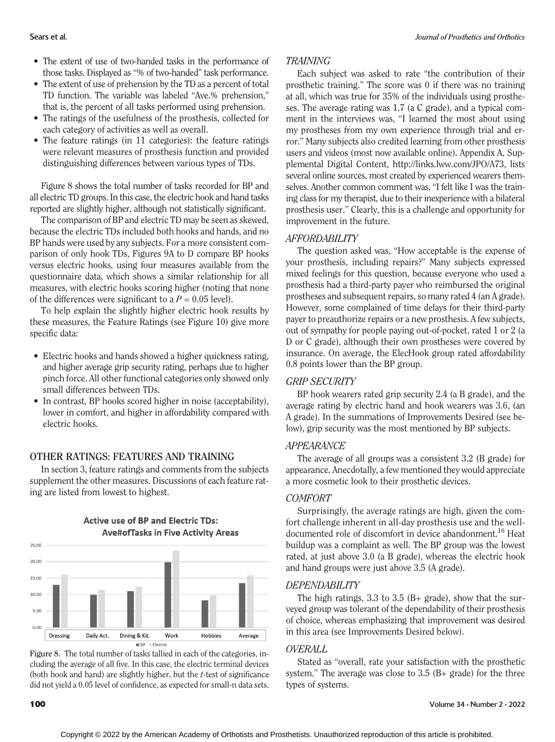- The extent of use of two-handed tasks in the performance of those tasks. Displayed as "% of two-handed" task performance.
- The extent of use of prehension by the TD as a percent of total TD function. The variable was labeled "Ave.% prehension," that is, the percent of all tasks performed using prehension.
- The ratings of the usefulness of the prosthesis, collected for each category of activities as well as overall.
- The feature ratings (in 11 categories): the feature ratings were relevant measures of prosthesis function and provided distinguishing differences between various types of TDs.

Figure 8 shows the total number of tasks recorded for BP and all electric TD groups. In this case, the electric hook and hand tasks reported are slightly higher, although not statistically significant.

The comparison of BP and electric TD may be seen as skewed, because the electric TDs included both hooks and hands, and no BP hands were used by any subjects. For a more consistent comparison of only hook TDs, Figures 9A to D compare BP hooks versus electric hooks, using four measures available from the questionnaire data, which shows a similar relationship for all measures, with electric hooks scoring higher (noting that none of the differences were significant to a  $P = 0.05$  level).

To help explain the slightly higher electric hook results by these measures, the Feature Ratings (see Figure 10) give more specific data:

- Electric hooks and hands showed a higher quickness rating, and higher average grip security rating, perhaps due to higher pinch force. All other functional categories only showed only small differences between TDs.
- In contrast, BP hooks scored higher in noise (acceptability), lower in comfort, and higher in affordability compared with electric hooks.

In section 3, feature ratings and comments from the subjects supplement the other measures. Discussions of each feature rating are listed from lowest to highest.

**Active use of BP and Electric TDs:** 



Figure 8. The total number of tasks tallied in each of the categories, including the average of all five. In this case, the electric terminal devices (both hook and hand) are slightly higher, but the  $t$ -test of significance did not yield a 0.05 level of confidence, as expected for small-n data sets.

# TRAINING

Each subject was asked to rate "the contribution of their prosthetic training." The score was 0 if there was no training at all, which was true for 35% of the individuals using prostheses. The average rating was 1.7 (a C grade), and a typical comment in the interviews was, "I learned the most about using my prostheses from my own experience through trial and error." Many subjects also credited learning from other prosthesis users and videos (most now available online). Appendix A, Supplemental Digital Content,<http://links.lww.com/JPO/A73>, lists several online sources, most created by experienced wearers themselves. Another common comment was, "I felt like I was the training class for my therapist, due to their inexperience with a bilateral prosthesis user." Clearly, this is a challenge and opportunity for improvement in the future.

### **AFFORDABILITY**

The question asked was, "How acceptable is the expense of your prosthesis, including repairs?" Many subjects expressed mixed feelings for this question, because everyone who used a prosthesis had a third-party payer who reimbursed the original prostheses and subsequent repairs, so many rated 4 (an A grade). However, some complained of time delays for their third-party payer to preauthorize repairs or a new prosthesis. A few subjects, out of sympathy for people paying out-of-pocket, rated 1 or 2 (a D or C grade), although their own prostheses were covered by insurance. On average, the ElecHook group rated affordability 0.8 points lower than the BP group.

# GRIP SECURITY

BP hook wearers rated grip security 2.4 (a B grade), and the average rating by electric hand and hook wearers was 3.6, (an A grade). In the summations of Improvements Desired (see below), grip security was the most mentioned by BP subjects.

### **APPEARANCE**

The average of all groups was a consistent 3.2 (B grade) for appearance. Anecdotally, a few mentioned they would appreciate a more cosmetic look to their prosthetic devices.

# **COMFORT**

Surprisingly, the average ratings are high, given the comfort challenge inherent in all-day prosthesis use and the welldocumented role of discomfort in device abandonment.<sup>16</sup> Heat buildup was a complaint as well. The BP group was the lowest rated, at just above 3.0 (a B grade), whereas the electric hook and hand groups were just above 3.5 (A grade).

### **DEPENDABILITY**

The high ratings, 3.3 to 3.5 (B + grade), show that the surveyed group was tolerant of the dependability of their prosthesis of choice, whereas emphasizing that improvement was desired in this area (see Improvements Desired below).

# OVERALL

Stated as "overall, rate your satisfaction with the prosthetic system." The average was close to 3.5 (B+ grade) for the three types of systems.

**Ave#ofTasks in Five Activity Areas**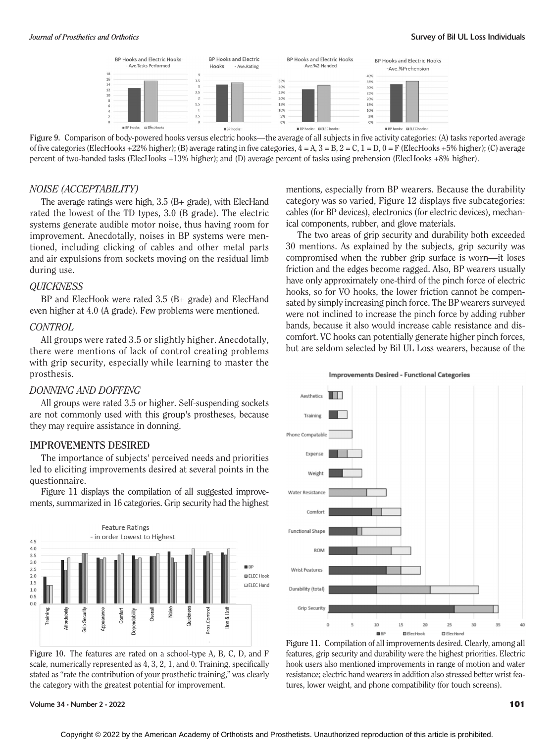

Figure 9. Comparison of body-powered hooks versus electric hooks—the average of all subjects in five activity categories: (A) tasks reported average of five categories (ElecHooks +22% higher); (B) average rating in five categories,  $4 = A$ ,  $3 = B$ ,  $2 = C$ ,  $1 = D$ ,  $0 = F$  (ElecHooks +5% higher); (C) average percent of two-handed tasks (ElecHooks +13% higher); and (D) average percent of tasks using prehension (ElecHooks +8% higher).

#### NOISE (ACCEPTABILITY)

The average ratings were high, 3.5 (B+ grade), with ElecHand rated the lowest of the TD types, 3.0 (B grade). The electric systems generate audible motor noise, thus having room for improvement. Anecdotally, noises in BP systems were mentioned, including clicking of cables and other metal parts and air expulsions from sockets moving on the residual limb during use.

#### **QUICKNESS**

BP and ElecHook were rated 3.5 (B+ grade) and ElecHand even higher at 4.0 (A grade). Few problems were mentioned.

#### CONTROL

All groups were rated 3.5 or slightly higher. Anecdotally, there were mentions of lack of control creating problems with grip security, especially while learning to master the prosthesis.

#### DONNING AND DOFFING

All groups were rated 3.5 or higher. Self-suspending sockets are not commonly used with this group's prostheses, because they may require assistance in donning.

The importance of subjects' perceived needs and priorities led to eliciting improvements desired at several points in the questionnaire.

Figure 11 displays the compilation of all suggested improvements, summarized in 16 categories. Grip security had the highest



Figure 10. The features are rated on a school-type A, B, C, D, and F scale, numerically represented as 4, 3, 2, 1, and 0. Training, specifically stated as "rate the contribution of your prosthetic training," was clearly the category with the greatest potential for improvement.

Volume 34 • Number 2 • 2022 **101 101** 

mentions, especially from BP wearers. Because the durability category was so varied, Figure 12 displays five subcategories: cables (for BP devices), electronics (for electric devices), mechanical components, rubber, and glove materials.

The two areas of grip security and durability both exceeded 30 mentions. As explained by the subjects, grip security was compromised when the rubber grip surface is worn—it loses friction and the edges become ragged. Also, BP wearers usually have only approximately one-third of the pinch force of electric hooks, so for VO hooks, the lower friction cannot be compensated by simply increasing pinch force. The BP wearers surveyed were not inclined to increase the pinch force by adding rubber bands, because it also would increase cable resistance and discomfort. VC hooks can potentially generate higher pinch forces, but are seldom selected by Bil UL Loss wearers, because of the





Figure 11. Compilation of all improvements desired. Clearly, among all features, grip security and durability were the highest priorities. Electric hook users also mentioned improvements in range of motion and water resistance; electric hand wearers in addition also stressed better wrist features, lower weight, and phone compatibility (for touch screens).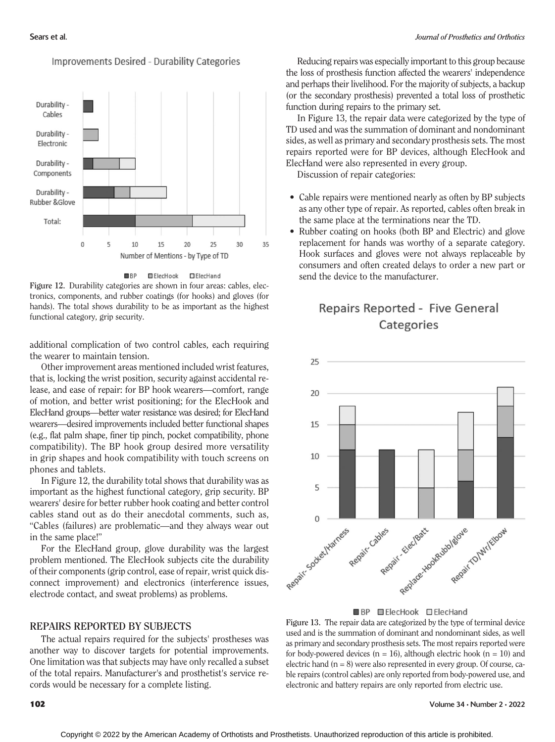

### **Improvements Desired - Durability Categories**



Figure 12. Durability categories are shown in four areas: cables, electronics, components, and rubber coatings (for hooks) and gloves (for hands). The total shows durability to be as important as the highest functional category, grip security.

additional complication of two control cables, each requiring the wearer to maintain tension.

Other improvement areas mentioned included wrist features, that is, locking the wrist position, security against accidental release, and ease of repair: for BP hook wearers—comfort, range of motion, and better wrist positioning; for the ElecHook and ElecHand groups—better water resistance was desired; for ElecHand wearers—desired improvements included better functional shapes (e.g., flat palm shape, finer tip pinch, pocket compatibility, phone compatibility). The BP hook group desired more versatility in grip shapes and hook compatibility with touch screens on phones and tablets.

In Figure 12, the durability total shows that durability was as important as the highest functional category, grip security. BP wearers' desire for better rubber hook coating and better control cables stand out as do their anecdotal comments, such as, "Cables (failures) are problematic—and they always wear out in the same place!"

For the ElecHand group, glove durability was the largest problem mentioned. The ElecHook subjects cite the durability of their components (grip control, ease of repair, wrist quick disconnect improvement) and electronics (interference issues, electrode contact, and sweat problems) as problems.

The actual repairs required for the subjects' prostheses was another way to discover targets for potential improvements. One limitation was that subjects may have only recalled a subset of the total repairs. Manufacturer's and prosthetist's service records would be necessary for a complete listing.

Reducing repairs was especially important to this group because the loss of prosthesis function affected the wearers' independence and perhaps their livelihood. For the majority of subjects, a backup (or the secondary prosthesis) prevented a total loss of prosthetic function during repairs to the primary set.

In Figure 13, the repair data were categorized by the type of TD used and was the summation of dominant and nondominant sides, as well as primary and secondary prosthesis sets. The most repairs reported were for BP devices, although ElecHook and ElecHand were also represented in every group.

Discussion of repair categories:

- Cable repairs were mentioned nearly as often by BP subjects as any other type of repair. As reported, cables often break in the same place at the terminations near the TD.
- Rubber coating on hooks (both BP and Electric) and glove replacement for hands was worthy of a separate category. Hook surfaces and gloves were not always replaceable by consumers and often created delays to order a new part or send the device to the manufacturer.

# Repairs Reported - Five General Categories



BP ElecHook ElecHand

Figure 13. The repair data are categorized by the type of terminal device used and is the summation of dominant and nondominant sides, as well as primary and secondary prosthesis sets. The most repairs reported were for body-powered devices ( $n = 16$ ), although electric hook ( $n = 10$ ) and electric hand  $(n = 8)$  were also represented in every group. Of course, cable repairs (control cables) are only reported from body-powered use, and electronic and battery repairs are only reported from electric use.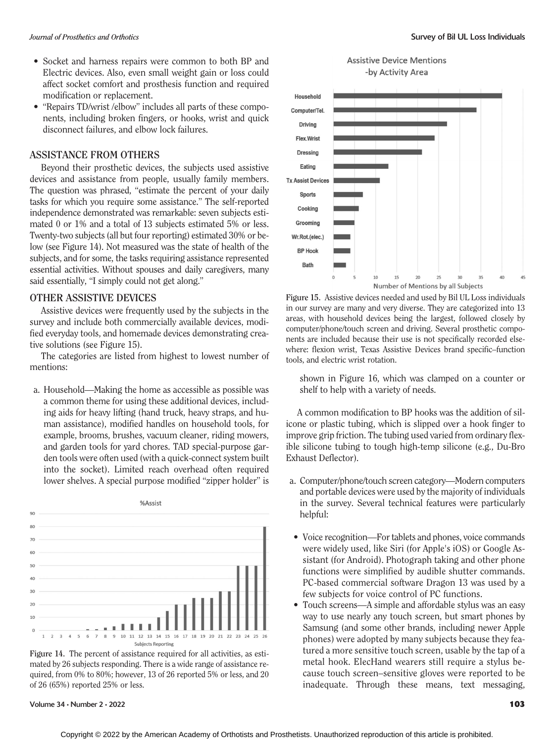- Socket and harness repairs were common to both BP and Electric devices. Also, even small weight gain or loss could affect socket comfort and prosthesis function and required modification or replacement.
- "Repairs TD/wrist /elbow" includes all parts of these components, including broken fingers, or hooks, wrist and quick disconnect failures, and elbow lock failures.

### **ASSISTANCE FROM OTHERS**

Beyond their prosthetic devices, the subjects used assistive devices and assistance from people, usually family members. The question was phrased, "estimate the percent of your daily tasks for which you require some assistance." The self-reported independence demonstrated was remarkable: seven subjects estimated 0 or 1% and a total of 13 subjects estimated 5% or less. Twenty-two subjects (all but four reporting) estimated 30% or below (see Figure 14). Not measured was the state of health of the subjects, and for some, the tasks requiring assistance represented essential activities. Without spouses and daily caregivers, many said essentially, "I simply could not get along."

#### **OTHER ASSISTIVE DEVICES**

Assistive devices were frequently used by the subjects in the survey and include both commercially available devices, modified everyday tools, and homemade devices demonstrating creative solutions (see Figure 15).

The categories are listed from highest to lowest number of mentions:

a. Household—Making the home as accessible as possible was a common theme for using these additional devices, including aids for heavy lifting (hand truck, heavy straps, and human assistance), modified handles on household tools, for example, brooms, brushes, vacuum cleaner, riding mowers, and garden tools for yard chores. TAD special-purpose garden tools were often used (with a quick-connect system built into the socket). Limited reach overhead often required lower shelves. A special purpose modified "zipper holder" is





Volume 34 • Number 2 • 2022 **103** 





Figure 15. Assistive devices needed and used by Bil UL Loss individuals in our survey are many and very diverse. They are categorized into 13 areas, with household devices being the largest, followed closely by computer/phone/touch screen and driving. Several prosthetic components are included because their use is not specifically recorded elsewhere: flexion wrist, Texas Assistive Devices brand specific–function tools, and electric wrist rotation.

shown in Figure 16, which was clamped on a counter or shelf to help with a variety of needs.

A common modification to BP hooks was the addition of silicone or plastic tubing, which is slipped over a hook finger to improve grip friction. The tubing used varied from ordinary flexible silicone tubing to tough high-temp silicone (e.g., Du-Bro Exhaust Deflector).

- a. Computer/phone/touch screen category—Modern computers and portable devices were used by the majority of individuals in the survey. Several technical features were particularly helpful:
- Voice recognition—For tablets and phones, voice commands were widely used, like Siri (for Apple's iOS) or Google Assistant (for Android). Photograph taking and other phone functions were simplified by audible shutter commands. PC-based commercial software Dragon 13 was used by a few subjects for voice control of PC functions.
- Touch screens—A simple and affordable stylus was an easy way to use nearly any touch screen, but smart phones by Samsung (and some other brands, including newer Apple phones) were adopted by many subjects because they featured a more sensitive touch screen, usable by the tap of a metal hook. ElecHand wearers still require a stylus because touch screen–sensitive gloves were reported to be inadequate. Through these means, text messaging,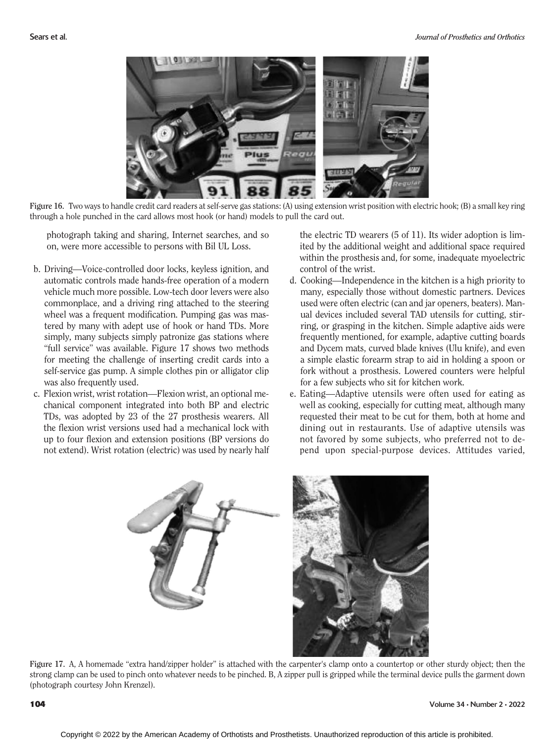

Figure 16. Two ways to handle credit card readers at self-serve gas stations: (A) using extension wrist position with electric hook; (B) a small key ring through a hole punched in the card allows most hook (or hand) models to pull the card out.

photograph taking and sharing, Internet searches, and so on, were more accessible to persons with Bil UL Loss.

- b. Driving—Voice-controlled door locks, keyless ignition, and automatic controls made hands-free operation of a modern vehicle much more possible. Low-tech door levers were also commonplace, and a driving ring attached to the steering wheel was a frequent modification. Pumping gas was mastered by many with adept use of hook or hand TDs. More simply, many subjects simply patronize gas stations where "full service" was available. Figure 17 shows two methods for meeting the challenge of inserting credit cards into a self-service gas pump. A simple clothes pin or alligator clip was also frequently used.
- c. Flexion wrist, wrist rotation—Flexion wrist, an optional mechanical component integrated into both BP and electric TDs, was adopted by 23 of the 27 prosthesis wearers. All the flexion wrist versions used had a mechanical lock with up to four flexion and extension positions (BP versions do not extend). Wrist rotation (electric) was used by nearly half

the electric TD wearers (5 of 11). Its wider adoption is limited by the additional weight and additional space required within the prosthesis and, for some, inadequate myoelectric control of the wrist.

- d. Cooking—Independence in the kitchen is a high priority to many, especially those without domestic partners. Devices used were often electric (can and jar openers, beaters). Manual devices included several TAD utensils for cutting, stirring, or grasping in the kitchen. Simple adaptive aids were frequently mentioned, for example, adaptive cutting boards and Dycem mats, curved blade knives (Ulu knife), and even a simple elastic forearm strap to aid in holding a spoon or fork without a prosthesis. Lowered counters were helpful for a few subjects who sit for kitchen work.
- e. Eating—Adaptive utensils were often used for eating as well as cooking, especially for cutting meat, although many requested their meat to be cut for them, both at home and dining out in restaurants. Use of adaptive utensils was not favored by some subjects, who preferred not to depend upon special-purpose devices. Attitudes varied,





Figure 17. A, A homemade "extra hand/zipper holder" is attached with the carpenter's clamp onto a countertop or other sturdy object; then the strong clamp can be used to pinch onto whatever needs to be pinched. B, A zipper pull is gripped while the terminal device pulls the garment down (photograph courtesy John Krenzel).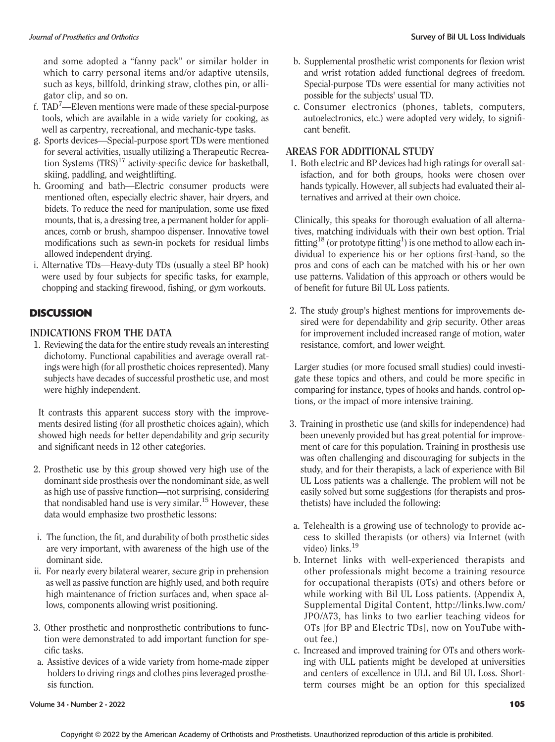and some adopted a "fanny pack" or similar holder in which to carry personal items and/or adaptive utensils, such as keys, billfold, drinking straw, clothes pin, or alligator clip, and so on.

- f. TAD<sup>7</sup>—Eleven mentions were made of these special-purpose tools, which are available in a wide variety for cooking, as well as carpentry, recreational, and mechanic-type tasks.
- g. Sports devices—Special-purpose sport TDs were mentioned for several activities, usually utilizing a Therapeutic Recreation Systems  $(TRS)^{17}$  activity-specific device for basketball, skiing, paddling, and weightlifting.
- h. Grooming and bath—Electric consumer products were mentioned often, especially electric shaver, hair dryers, and bidets. To reduce the need for manipulation, some use fixed mounts, that is, a dressing tree, a permanent holder for appliances, comb or brush, shampoo dispenser. Innovative towel modifications such as sewn-in pockets for residual limbs allowed independent drying.
- i. Alternative TDs—Heavy-duty TDs (usually a steel BP hook) were used by four subjects for specific tasks, for example, chopping and stacking firewood, fishing, or gym workouts.

# DISCUSSION

1. Reviewing the data for the entire study reveals an interesting dichotomy. Functional capabilities and average overall ratings were high (for all prosthetic choices represented). Many subjects have decades of successful prosthetic use, and most were highly independent.

It contrasts this apparent success story with the improvements desired listing (for all prosthetic choices again), which showed high needs for better dependability and grip security and significant needs in 12 other categories.

- 2. Prosthetic use by this group showed very high use of the dominant side prosthesis over the nondominant side, as well as high use of passive function—not surprising, considering that nondisabled hand use is very similar.<sup>15</sup> However, these data would emphasize two prosthetic lessons:
- i. The function, the fit, and durability of both prosthetic sides are very important, with awareness of the high use of the dominant side.
- ii. For nearly every bilateral wearer, secure grip in prehension as well as passive function are highly used, and both require high maintenance of friction surfaces and, when space allows, components allowing wrist positioning.
- 3. Other prosthetic and nonprosthetic contributions to function were demonstrated to add important function for specific tasks.
- a. Assistive devices of a wide variety from home-made zipper holders to driving rings and clothes pins leveraged prosthesis function.
- b. Supplemental prosthetic wrist components for flexion wrist and wrist rotation added functional degrees of freedom. Special-purpose TDs were essential for many activities not possible for the subjects' usual TD.
- c. Consumer electronics (phones, tablets, computers, autoelectronics, etc.) were adopted very widely, to significant benefit.

## AREAS FOR ADDITIONAL STUDY

1. Both electric and BP devices had high ratings for overall satisfaction, and for both groups, hooks were chosen over hands typically. However, all subjects had evaluated their alternatives and arrived at their own choice.

Clinically, this speaks for thorough evaluation of all alternatives, matching individuals with their own best option. Trial fitting<sup>18</sup> (or prototype fitting<sup>1</sup>) is one method to allow each individual to experience his or her options first-hand, so the pros and cons of each can be matched with his or her own use patterns. Validation of this approach or others would be of benefit for future Bil UL Loss patients.

2. The study group's highest mentions for improvements desired were for dependability and grip security. Other areas for improvement included increased range of motion, water resistance, comfort, and lower weight.

Larger studies (or more focused small studies) could investigate these topics and others, and could be more specific in comparing for instance, types of hooks and hands, control options, or the impact of more intensive training.

- 3. Training in prosthetic use (and skills for independence) had been unevenly provided but has great potential for improvement of care for this population. Training in prosthesis use was often challenging and discouraging for subjects in the study, and for their therapists, a lack of experience with Bil UL Loss patients was a challenge. The problem will not be easily solved but some suggestions (for therapists and prosthetists) have included the following:
- a. Telehealth is a growing use of technology to provide access to skilled therapists (or others) via Internet (with video) links.<sup>19</sup>
- b. Internet links with well-experienced therapists and other professionals might become a training resource for occupational therapists (OTs) and others before or while working with Bil UL Loss patients. (Appendix A, Supplemental Digital Content, [http://links.lww.com/](http://links.lww.com/JPO/A73) [JPO/A73,](http://links.lww.com/JPO/A73) has links to two earlier teaching videos for OTs [for BP and Electric TDs], now on YouTube without fee.)
- c. Increased and improved training for OTs and others working with ULL patients might be developed at universities and centers of excellence in ULL and Bil UL Loss. Shortterm courses might be an option for this specialized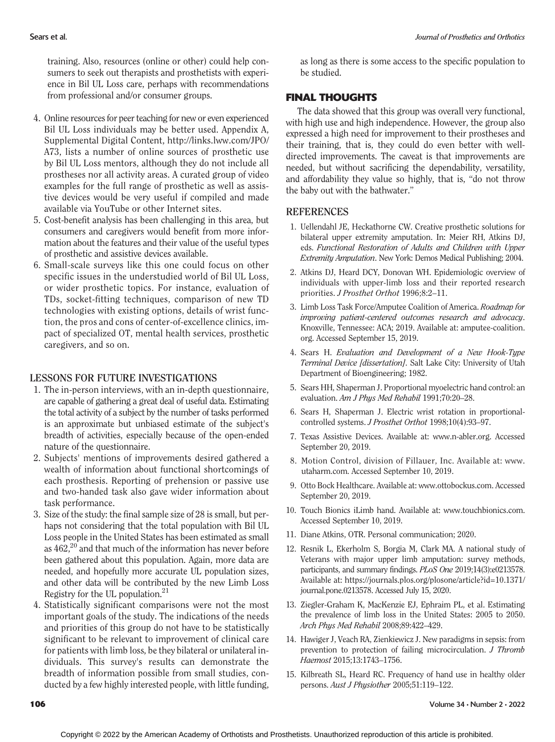training. Also, resources (online or other) could help consumers to seek out therapists and prosthetists with experience in Bil UL Loss care, perhaps with recommendations from professional and/or consumer groups.

- 4. Online resources for peer teaching for new or even experienced Bil UL Loss individuals may be better used. Appendix A, Supplemental Digital Content, [http://links.lww.com/JPO/](http://links.lww.com/JPO/A73) [A73](http://links.lww.com/JPO/A73), lists a number of online sources of prosthetic use by Bil UL Loss mentors, although they do not include all prostheses nor all activity areas. A curated group of video examples for the full range of prosthetic as well as assistive devices would be very useful if compiled and made available via YouTube or other Internet sites.
- 5. Cost-benefit analysis has been challenging in this area, but consumers and caregivers would benefit from more information about the features and their value of the useful types of prosthetic and assistive devices available.
- 6. Small-scale surveys like this one could focus on other specific issues in the understudied world of Bil UL Loss, or wider prosthetic topics. For instance, evaluation of TDs, socket-fitting techniques, comparison of new TD technologies with existing options, details of wrist function, the pros and cons of center-of-excellence clinics, impact of specialized OT, mental health services, prosthetic caregivers, and so on.

### **LESSONS FOR FUTURE INVESTIGATIONS**

- 1. The in-person interviews, with an in-depth questionnaire, are capable of gathering a great deal of useful data. Estimating the total activity of a subject by the number of tasks performed is an approximate but unbiased estimate of the subject's breadth of activities, especially because of the open-ended nature of the questionnaire.
- 2. Subjects' mentions of improvements desired gathered a wealth of information about functional shortcomings of each prosthesis. Reporting of prehension or passive use and two-handed task also gave wider information about task performance.
- 3. Size of the study: the final sample size of 28 is small, but perhaps not considering that the total population with Bil UL Loss people in the United States has been estimated as small as  $462<sup>20</sup>$  and that much of the information has never before been gathered about this population. Again, more data are needed, and hopefully more accurate UL population sizes, and other data will be contributed by the new Limb Loss Registry for the UL population.21
- 4. Statistically significant comparisons were not the most important goals of the study. The indications of the needs and priorities of this group do not have to be statistically significant to be relevant to improvement of clinical care for patients with limb loss, be they bilateral or unilateral individuals. This survey's results can demonstrate the breadth of information possible from small studies, conducted by a few highly interested people, with little funding,

as long as there is some access to the specific population to be studied.

# FINAL THOUGHTS

The data showed that this group was overall very functional, with high use and high independence. However, the group also expressed a high need for improvement to their prostheses and their training, that is, they could do even better with welldirected improvements. The caveat is that improvements are needed, but without sacrificing the dependability, versatility, and affordability they value so highly, that is, "do not throw the baby out with the bathwater."

## **REFERENCES**

- 1. Uellendahl JE, Heckathorne CW. Creative prosthetic solutions for bilateral upper extremity amputation. In: Meier RH, Atkins DJ, eds. Functional Restoration of Adults and Children with Upper Extremity Amputation. New York: Demos Medical Publishing; 2004.
- 2. Atkins DJ, Heard DCY, Donovan WH. Epidemiologic overview of individuals with upper-limb loss and their reported research priorities. J Prosthet Orthot 1996;8:2–11.
- 3. Limb Loss Task Force/Amputee Coalition of America. Roadmap for improving patient-centered outcomes research and advocacy. Knoxville, Tennessee: ACA; 2019. Available at: [amputee-coalition.](http://amputee-coalition.org) [org](http://amputee-coalition.org). Accessed September 15, 2019.
- 4. Sears H. Evaluation and Development of a New Hook-Type Terminal Device [dissertation]. Salt Lake City: University of Utah Department of Bioengineering; 1982.
- 5. Sears HH, Shaperman J. Proportional myoelectric hand control: an evaluation. Am J Phys Med Rehabil 1991;70:20–28.
- 6. Sears H, Shaperman J. Electric wrist rotation in proportionalcontrolled systems. J Prosthet Orthot 1998;10(4):93–97.
- 7. Texas Assistive Devices. Available at: [www.n-abler.org](http://www.n-abler.org). Accessed September 20, 2019.
- 8. Motion Control, division of Fillauer, Inc. Available at: [www.](http://www.utaharm.com) [utaharm.com](http://www.utaharm.com). Accessed September 10, 2019.
- 9. Otto Bock Healthcare. Available at: [www.ottobockus.com](http://www.ottobockus.com). Accessed September 20, 2019.
- 10. Touch Bionics iLimb hand. Available at: [www.touchbionics.com](http://www.touchbionics.com). Accessed September 10, 2019.
- 11. Diane Atkins, OTR. Personal communication; 2020.
- 12. Resnik L, Ekerholm S, Borgia M, Clark MA. A national study of Veterans with major upper limb amputation: survey methods, participants, and summary findings. PLoS One 2019;14(3):e0213578. Available at: [https://journals.plos.org/plosone/article?id=10.1371/](http://dx.doi.org/10.1371/journal.pone.0213578) [journal.pone.0213578](http://dx.doi.org/10.1371/journal.pone.0213578). Accessed July 15, 2020.
- 13. Ziegler-Graham K, MacKenzie EJ, Ephraim PL, et al. Estimating the prevalence of limb loss in the United States: 2005 to 2050. Arch Phys Med Rehabil 2008;89:422–429.
- 14. Hawiger J, Veach RA, Zienkiewicz J. New paradigms in sepsis: from prevention to protection of failing microcirculation. J Thromb Haemost 2015;13:1743–1756.
- 15. Kilbreath SL, Heard RC. Frequency of hand use in healthy older persons. Aust J Physiother 2005;51:119–122.